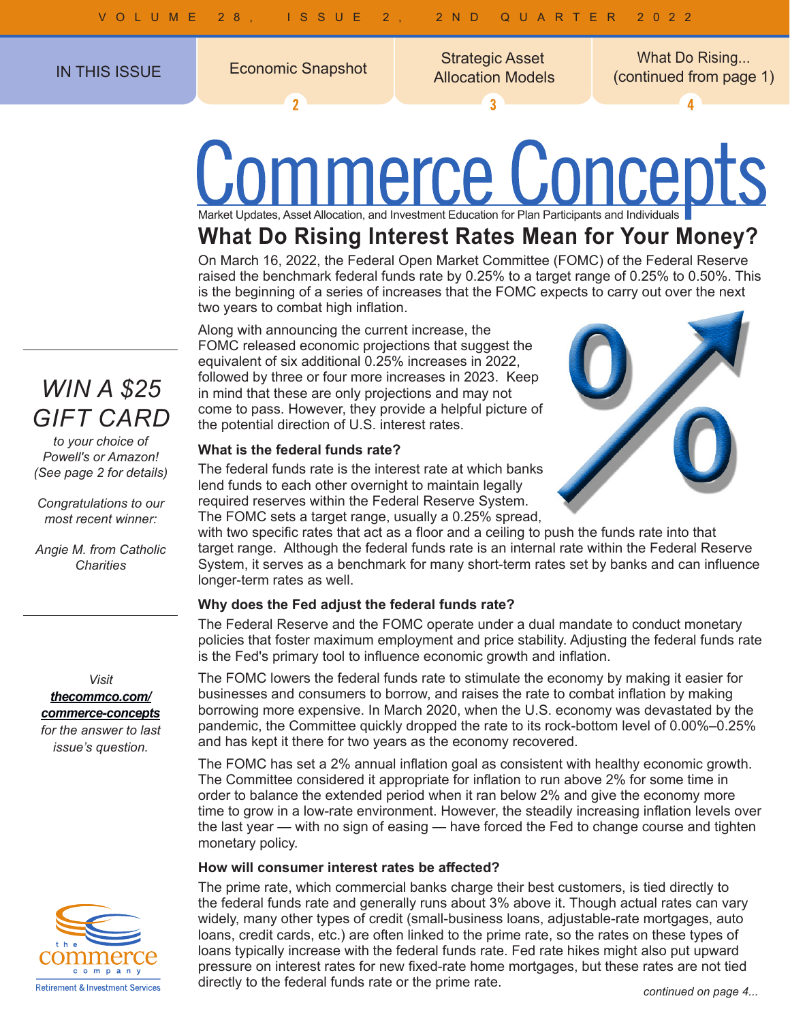$\overline{\mathbf{z}}$ 

IN THIS ISSUE Economic Snapshot Superinten Christian In THIS ISSUE Strategic Asset

 $\overline{3}$ 

Allocation Models Economic Snapshot What Do Rising... (continued from page 1)

4

# nmerce Concepts Market Updates, Asset Allocation, and Investment Education for Plan Participants and Individuals

### **What Do Rising Interest Rates Mean for Your Money?**

On March 16, 2022, the Federal Open Market Committee (FOMC) of the Federal Reserve raised the benchmark federal funds rate by 0.25% to a target range of 0.25% to 0.50%. This is the beginning of a series of increases that the FOMC expects to carry out over the next two years to combat high inflation.

Along with announcing the current increase, the FOMC released economic projections that suggest the equivalent of six additional 0.25% increases in 2022, followed by three or four more increases in 2023. Keep in mind that these are only projections and may not come to pass. However, they provide a helpful picture of the potential direction of U.S. interest rates.

#### **What is the federal funds rate?**

The federal funds rate is the interest rate at which banks lend funds to each other overnight to maintain legally required reserves within the Federal Reserve System. The FOMC sets a target range, usually a 0.25% spread,

with two specific rates that act as a floor and a ceiling to push the funds rate into that target range. Although the federal funds rate is an internal rate within the Federal Reserve System, it serves as a benchmark for many short-term rates set by banks and can influence longer-term rates as well.

#### **Why does the Fed adjust the federal funds rate?**

The Federal Reserve and the FOMC operate under a dual mandate to conduct monetary policies that foster maximum employment and price stability. Adjusting the federal funds rate is the Fed's primary tool to influence economic growth and inflation.

The FOMC lowers the federal funds rate to stimulate the economy by making it easier for businesses and consumers to borrow, and raises the rate to combat inflation by making borrowing more expensive. In March 2020, when the U.S. economy was devastated by the pandemic, the Committee quickly dropped the rate to its rock-bottom level of 0.00%–0.25% and has kept it there for two years as the economy recovered.

The FOMC has set a 2% annual inflation goal as consistent with healthy economic growth. The Committee considered it appropriate for inflation to run above 2% for some time in order to balance the extended period when it ran below 2% and give the economy more time to grow in a low-rate environment. However, the steadily increasing inflation levels over the last year — with no sign of easing — have forced the Fed to change course and tighten monetary policy.

#### **How will consumer interest rates be affected?**

The prime rate, which commercial banks charge their best customers, is tied directly to the federal funds rate and generally runs about 3% above it. Though actual rates can vary widely, many other types of credit (small-business loans, adjustable-rate mortgages, auto loans, credit cards, etc.) are often linked to the prime rate, so the rates on these types of loans typically increase with the federal funds rate. Fed rate hikes might also put upward pressure on interest rates for new fixed-rate home mortgages, but these rates are not tied directly to the federal funds rate or the prime rate.

### *WIN A \$25 GIFT CARD*

*to your choice of Powell's or Amazon! (See page 2 for details)*

*Congratulations to our most recent winner:*

*Angie M. from Catholic Charities*

*Visit thecommco.com/ commerce-concepts for the answer to last* 

*issue's question.*

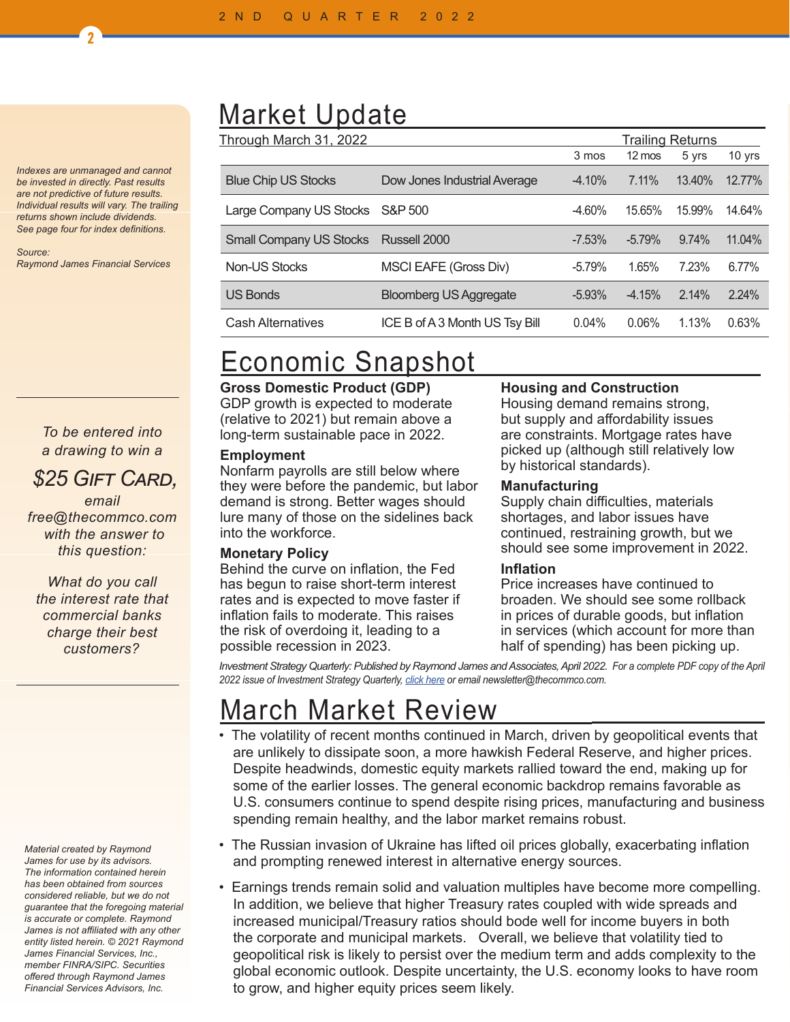*Indexes are unmanaged and cannot be invested in directly. Past results are not predictive of future results. Individual results will vary. The trailing returns shown include dividends. See page four for index definitions.*

2

*Source: Raymond James Financial Services*

#### *To be entered into a drawing to win a*

### *\$25 Gift Card,*

*email free@thecommco.com with the answer to this question:*

*What do you call the interest rate that commercial banks charge their best customers?*

#### *Material created by Raymond James for use by its advisors. The information contained herein has been obtained from sources considered reliable, but we do not guarantee that the foregoing material is accurate or complete. Raymond James is not affiliated with any other entity listed herein. © 2021 Raymond James Financial Services, Inc., member FINRA/SIPC. Securities offered through Raymond James Financial Services Advisors, Inc.*

### Market Update

| Through March 31, 2022          |                                |          | <b>Trailing Returns</b> |        |        |
|---------------------------------|--------------------------------|----------|-------------------------|--------|--------|
|                                 |                                | 3 mos    | $12 \text{ mos}$        | 5 yrs  | 10 yrs |
| <b>Blue Chip US Stocks</b>      | Dow Jones Industrial Average   | $-4.10%$ | 7.11%                   | 13.40% | 12.77% |
| Large Company US Stocks S&P 500 |                                | $-4.60%$ | 15.65%                  | 15.99% | 14.64% |
| <b>Small Company US Stocks</b>  | Russell 2000                   | $-7.53%$ | $-5.79%$                | 9.74%  | 11.04% |
| <b>Non-US Stocks</b>            | MSCI EAFE (Gross Div)          | $-5.79%$ | 1.65%                   | 7.23%  | 6.77%  |
| <b>US Bonds</b>                 | <b>Bloomberg US Aggregate</b>  | $-5.93%$ | $-4.15%$                | 2.14%  | 2.24%  |
| Cash Alternatives               | ICE B of A 3 Month US Tsy Bill | 0.04%    | 0.06%                   | 1.13%  | 0.63%  |

### Economic Snapshot

#### **Gross Domestic Product (GDP)**

GDP growth is expected to moderate (relative to 2021) but remain above a long-term sustainable pace in 2022.

#### **Employment**

Nonfarm payrolls are still below where they were before the pandemic, but labor demand is strong. Better wages should lure many of those on the sidelines back into the workforce.

#### **Monetary Policy**

Behind the curve on inflation, the Fed has begun to raise short-term interest rates and is expected to move faster if inflation fails to moderate. This raises the risk of overdoing it, leading to a possible recession in 2023.

#### **Housing and Construction**

Housing demand remains strong, but supply and affordability issues are constraints. Mortgage rates have picked up (although still relatively low by historical standards).

#### **Manufacturing**

Supply chain difficulties, materials shortages, and labor issues have continued, restraining growth, but we should see some improvement in 2022.

#### **Inflation**

Price increases have continued to broaden. We should see some rollback in prices of durable goods, but inflation in services (which account for more than half of spending) has been picking up.

*Investment Strategy Quarterly: Published by Raymond James and Associates, April 2022. For a complete PDF copy of the April 2022 issue of Investment Strategy Quarterly, click here or email newsletter@thecommco.com.*

## March Market Review

- The volatility of recent months continued in March, driven by geopolitical events that are unlikely to dissipate soon, a more hawkish Federal Reserve, and higher prices. Despite headwinds, domestic equity markets rallied toward the end, making up for some of the earlier losses. The general economic backdrop remains favorable as U.S. consumers continue to spend despite rising prices, manufacturing and business spending remain healthy, and the labor market remains robust.
- The Russian invasion of Ukraine has lifted oil prices globally, exacerbating inflation and prompting renewed interest in alternative energy sources.
- Earnings trends remain solid and valuation multiples have become more compelling. In addition, we believe that higher Treasury rates coupled with wide spreads and increased municipal/Treasury ratios should bode well for income buyers in both the corporate and municipal markets. Overall, we believe that volatility tied to geopolitical risk is likely to persist over the medium term and adds complexity to the global economic outlook. Despite uncertainty, the U.S. economy looks to have room to grow, and higher equity prices seem likely.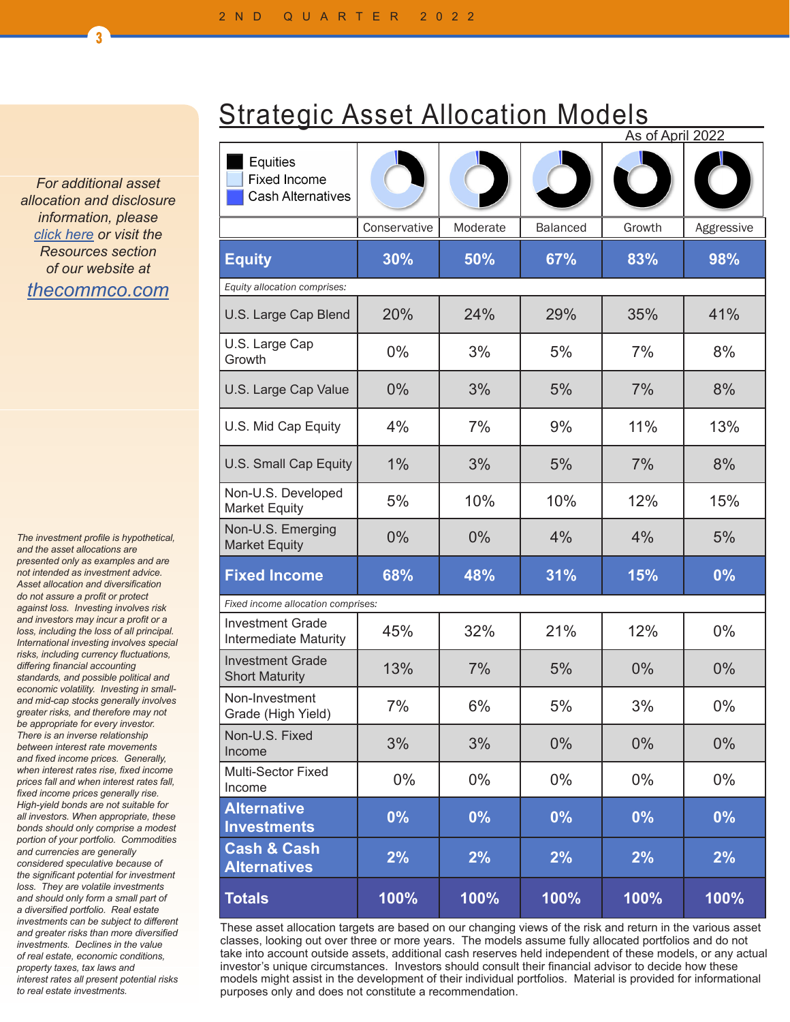*For additional asset allocation and disclosure information, please click here or visit the Resources section of our website at thecommco.com*

 $\overline{3}$ 

*The investment profile is hypothetical, and the asset allocations are presented only as examples and are not intended as investment advice. Asset allocation and diversification do not assure a profit or protect against loss. Investing involves risk and investors may incur a profit or a loss, including the loss of all principal. International investing involves special risks, including currency fluctuations, differing financial accounting standards, and possible political and economic volatility. Investing in smalland mid-cap stocks generally involves greater risks, and therefore may not be appropriate for every investor. There is an inverse relationship between interest rate movements and fixed income prices. Generally, when interest rates rise, fixed income prices fall and when interest rates fall, fixed income prices generally rise. High-yield bonds are not suitable for all investors. When appropriate, these bonds should only comprise a modest portion of your portfolio. Commodities and currencies are generally considered speculative because of the significant potential for investment loss. They are volatile investments and should only form a small part of a diversified portfolio. Real estate investments can be subject to different and greater risks than more diversified investments. Declines in the value of real estate, economic conditions, property taxes, tax laws and interest rates all present potential risks to real estate investments.*

|  | <b>Strategic Asset Allocation Models</b> |  |
|--|------------------------------------------|--|
|  |                                          |  |

|                                                             |              |          |                 | <u>As of April 2022</u> |            |  |
|-------------------------------------------------------------|--------------|----------|-----------------|-------------------------|------------|--|
| Equities<br><b>Fixed Income</b><br><b>Cash Alternatives</b> |              |          |                 |                         |            |  |
|                                                             | Conservative | Moderate | <b>Balanced</b> | Growth                  | Aggressive |  |
| <b>Equity</b>                                               | 30%          | 50%      | 67%             | 83%                     | 98%        |  |
| Equity allocation comprises:                                |              |          |                 |                         |            |  |
| U.S. Large Cap Blend                                        | 20%          | 24%      | 29%             | 35%                     | 41%        |  |
| U.S. Large Cap<br>Growth                                    | 0%           | 3%       | 5%              | 7%                      | 8%         |  |
| U.S. Large Cap Value                                        | $0\%$        | 3%       | 5%              | 7%                      | 8%         |  |
| U.S. Mid Cap Equity                                         | 4%           | 7%       | 9%              | 11%                     | 13%        |  |
| U.S. Small Cap Equity                                       | 1%           | 3%       | 5%              | 7%                      | 8%         |  |
| Non-U.S. Developed<br><b>Market Equity</b>                  | 5%           | 10%      | 10%             | 12%                     | 15%        |  |
| Non-U.S. Emerging<br><b>Market Equity</b>                   | 0%           | 0%       | 4%              | 4%                      | 5%         |  |
| <b>Fixed Income</b>                                         | 68%          | 48%      | 31%             | 15%                     | 0%         |  |
| Fixed income allocation comprises:                          |              |          |                 |                         |            |  |
| <b>Investment Grade</b><br>Intermediate Maturity            | 45%          | 32%      | 21%             | 12%                     | $0\%$      |  |
| <b>Investment Grade</b><br><b>Short Maturity</b>            | 13%          | 7%       | 5%              | $0\%$                   | $0\%$      |  |
| Non-Investment<br>Grade (High Yield)                        | 7%           | 6%       | 5%              | 3%                      | $0\%$      |  |
| Non-U.S. Fixed<br>Income                                    | 3%           | 3%       | 0%              | $0\%$                   | $0\%$      |  |
| Multi-Sector Fixed<br>Income                                | $0\%$        | $0\%$    | 0%              | $0\%$                   | 0%         |  |
| <b>Alternative</b><br><b>Investments</b>                    | 0%           | 0%       | 0%              | 0%                      | $0\%$      |  |
| <b>Cash &amp; Cash</b><br><b>Alternatives</b>               | 2%           | 2%       | 2%              | 2%                      | 2%         |  |
| <b>Totals</b>                                               | 100%         | 100%     | 100%            | 100%                    | 100%       |  |

These asset allocation targets are based on our changing views of the risk and return in the various asset classes, looking out over three or more years. The models assume fully allocated portfolios and do not take into account outside assets, additional cash reserves held independent of these models, or any actual investor's unique circumstances. Investors should consult their financial advisor to decide how these models might assist in the development of their individual portfolios. Material is provided for informational purposes only and does not constitute a recommendation.